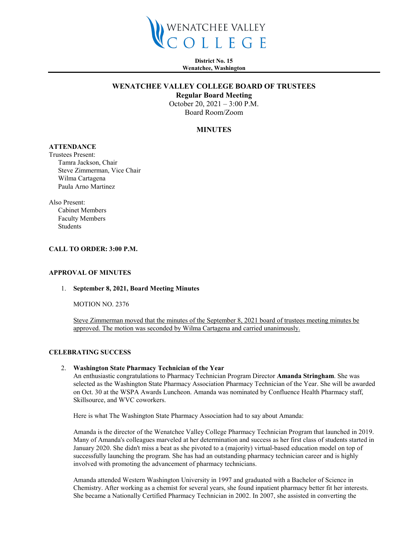

**District No. 15 Wenatchee, Washington**

## **WENATCHEE VALLEY COLLEGE BOARD OF TRUSTEES**

**Regular Board Meeting**

October 20, 2021 – 3:00 P.M. Board Room/Zoom

# **MINUTES**

# **ATTENDANCE**

Trustees Present: Tamra Jackson, Chair Steve Zimmerman, Vice Chair Wilma Cartagena Paula Arno Martinez

Also Present: Cabinet Members Faculty Members Students

#### **CALL TO ORDER: 3:00 P.M.**

### **APPROVAL OF MINUTES**

#### 1. **September 8, 2021, Board Meeting Minutes**

MOTION NO. 2376

Steve Zimmerman moved that the minutes of the September 8, 2021 board of trustees meeting minutes be approved. The motion was seconded by Wilma Cartagena and carried unanimously.

#### **CELEBRATING SUCCESS**

#### 2. **Washington State Pharmacy Technician of the Year**

An enthusiastic congratulations to Pharmacy Technician Program Director **Amanda Stringham**. She was selected as the Washington State Pharmacy Association Pharmacy Technician of the Year. She will be awarded on Oct. 30 at the WSPA Awards Luncheon. Amanda was nominated by Confluence Health Pharmacy staff, Skillsource, and WVC coworkers.

Here is what The Washington State Pharmacy Association had to say about Amanda:

Amanda is the director of the Wenatchee Valley College Pharmacy Technician Program that launched in 2019. Many of Amanda's colleagues marveled at her determination and success as her first class of students started in January 2020. She didn't miss a beat as she pivoted to a (majority) virtual-based education model on top of successfully launching the program. She has had an outstanding pharmacy technician career and is highly involved with promoting the advancement of pharmacy technicians.

Amanda attended Western Washington University in 1997 and graduated with a Bachelor of Science in Chemistry. After working as a chemist for several years, she found inpatient pharmacy better fit her interests. She became a Nationally Certified Pharmacy Technician in 2002. In 2007, she assisted in converting the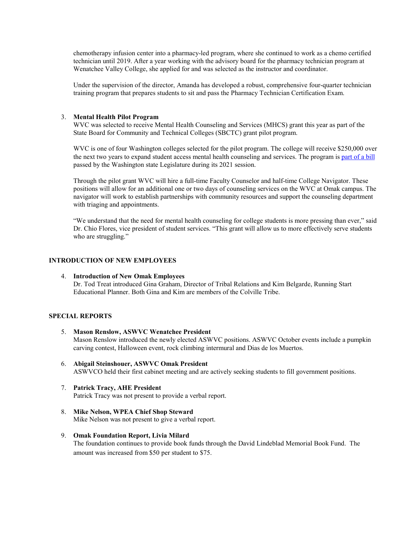chemotherapy infusion center into a pharmacy-led program, where she continued to work as a chemo certified technician until 2019. After a year working with the advisory board for the pharmacy technician program at Wenatchee Valley College, she applied for and was selected as the instructor and coordinator.

Under the supervision of the director, Amanda has developed a robust, comprehensive four-quarter technician training program that prepares students to sit and pass the Pharmacy Technician Certification Exam.

### 3. **Mental Health Pilot Program**

WVC was selected to receive Mental Health Counseling and Services (MHCS) grant this year as part of the State Board for Community and Technical Colleges (SBCTC) grant pilot program.

WVC is one of four Washington colleges selected for the pilot program. The college will receive \$250,000 over the next two years to expand student access mental health counseling and services. The program is [part of a bill](https://nam10.safelinks.protection.outlook.com/?url=https%3A%2F%2Furldefense.com%2Fv3%2F__https%3A%2F%2Fsbctc.us8.list-manage.com%2Ftrack%2Fclick%3Fu%3Ddeef59f1d8ee1e991514ca276%26id%3D0a7e74f34a%26e%3Deac0b86a7d__%3B!!CVJAgw2XxpAa!xQ5qxPWmoNS62qi2wIbYtXfwQ7cXLMjM4Z5vPUDVGBGTuVy90nadkJDiSB5ll_A%24&data=04%7C01%7Chthorpe%40wvc.edu%7C9efc28f6ab904f644dcf08d984faf5b4%7Cfe590da28322492da44c32a1d698a506%7C0%7C0%7C637687035701512335%7CUnknown%7CTWFpbGZsb3d8eyJWIjoiMC4wLjAwMDAiLCJQIjoiV2luMzIiLCJBTiI6Ik1haWwiLCJXVCI6Mn0%3D%7C1000&sdata=O3olDlZ5TYXpdneOU%2BImkaTl4rp79MLauItw%2BNkqeC8%3D&reserved=0) passed by the Washington state Legislature during its 2021 session.

Through the pilot grant WVC will hire a full-time Faculty Counselor and half-time College Navigator. These positions will allow for an additional one or two days of counseling services on the WVC at Omak campus. The navigator will work to establish partnerships with community resources and support the counseling department with triaging and appointments.

"We understand that the need for mental health counseling for college students is more pressing than ever," said Dr. Chio Flores, vice president of student services. "This grant will allow us to more effectively serve students who are struggling."

### **INTRODUCTION OF NEW EMPLOYEES**

4. **Introduction of New Omak Employees** Dr. Tod Treat introduced Gina Graham, Director of Tribal Relations and Kim Belgarde, Running Start Educational Planner. Both Gina and Kim are members of the Colville Tribe.

## **SPECIAL REPORTS**

- 5. **Mason Renslow, ASWVC Wenatchee President** Mason Renslow introduced the newly elected ASWVC positions. ASWVC October events include a pumpkin carving contest, Halloween event, rock climbing intermural and Dias de los Muertos.
- 6. **Abigail Steinshouer, ASWVC Omak President** ASWVCO held their first cabinet meeting and are actively seeking students to fill government positions.
- 7. **Patrick Tracy, AHE President** Patrick Tracy was not present to provide a verbal report.
- 8. **Mike Nelson, WPEA Chief Shop Steward** Mike Nelson was not present to give a verbal report.
- 9. **Omak Foundation Report, Livia Milard** The foundation continues to provide book funds through the David Lindeblad Memorial Book Fund. The amount was increased from \$50 per student to \$75.